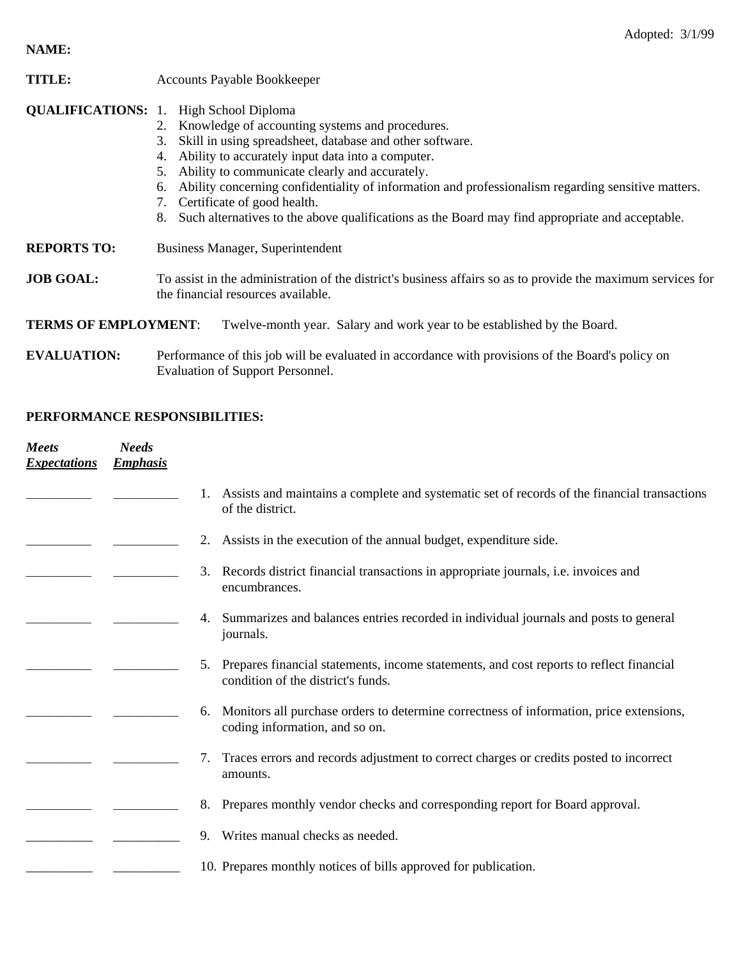## **NAME:**

| <b>TITLE:</b>               | <b>Accounts Payable Bookkeeper</b>                                                                                                                                                                                                                                                                                                                                                                                                                                                                                                           |  |  |  |
|-----------------------------|----------------------------------------------------------------------------------------------------------------------------------------------------------------------------------------------------------------------------------------------------------------------------------------------------------------------------------------------------------------------------------------------------------------------------------------------------------------------------------------------------------------------------------------------|--|--|--|
|                             | <b>QUALIFICATIONS:</b> 1. High School Diploma<br>2. Knowledge of accounting systems and procedures.<br>Skill in using spreadsheet, database and other software.<br>3.<br>Ability to accurately input data into a computer.<br>4.<br>Ability to communicate clearly and accurately.<br>5.<br>Ability concerning confidentiality of information and professionalism regarding sensitive matters.<br>6.<br>Certificate of good health.<br>Such alternatives to the above qualifications as the Board may find appropriate and acceptable.<br>8. |  |  |  |
| <b>REPORTS TO:</b>          | Business Manager, Superintendent                                                                                                                                                                                                                                                                                                                                                                                                                                                                                                             |  |  |  |
| <b>JOB GOAL:</b>            | To assist in the administration of the district's business affairs so as to provide the maximum services for<br>the financial resources available.                                                                                                                                                                                                                                                                                                                                                                                           |  |  |  |
| <b>TERMS OF EMPLOYMENT:</b> | Twelve-month year. Salary and work year to be established by the Board.                                                                                                                                                                                                                                                                                                                                                                                                                                                                      |  |  |  |

**EVALUATION:** Performance of this job will be evaluated in accordance with provisions of the Board's policy on Evaluation of Support Personnel.

## **PERFORMANCE RESPONSIBILITIES:**

| Meets<br><b>Expectations</b> | <b>Needs</b><br><b>Emphasis</b> |                                                                                                                                     |
|------------------------------|---------------------------------|-------------------------------------------------------------------------------------------------------------------------------------|
|                              |                                 | Assists and maintains a complete and systematic set of records of the financial transactions<br>of the district.                    |
|                              |                                 | Assists in the execution of the annual budget, expenditure side.<br>2.                                                              |
|                              |                                 | Records district financial transactions in appropriate journals, i.e. invoices and<br>3.<br>encumbrances.                           |
|                              |                                 | Summarizes and balances entries recorded in individual journals and posts to general<br>4.<br>journals.                             |
|                              |                                 | Prepares financial statements, income statements, and cost reports to reflect financial<br>5.<br>condition of the district's funds. |
|                              |                                 | Monitors all purchase orders to determine correctness of information, price extensions,<br>6.<br>coding information, and so on.     |
|                              |                                 | Traces errors and records adjustment to correct charges or credits posted to incorrect<br>7.<br>amounts.                            |
|                              |                                 | Prepares monthly vendor checks and corresponding report for Board approval.<br>8.                                                   |
|                              |                                 | Writes manual checks as needed.<br>$\mathbf{Q}$                                                                                     |
|                              |                                 | 10. Prepares monthly notices of bills approved for publication.                                                                     |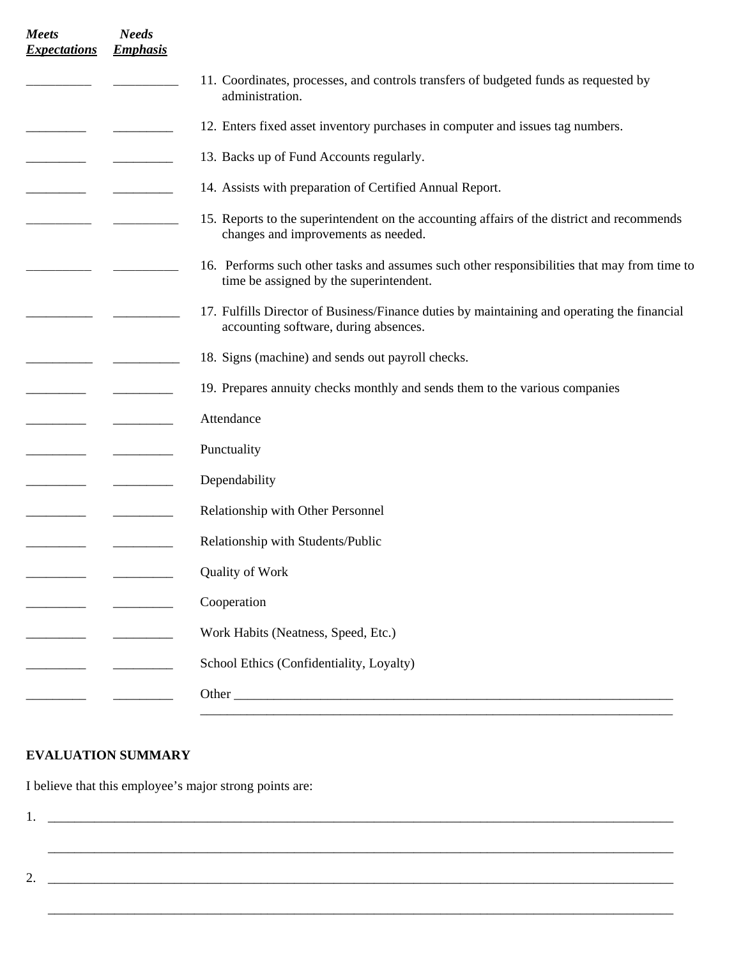| <b>Meets</b><br><b>Expectations</b> | <b>Needs</b><br><b>Emphasis</b> |                                                                                                                                        |
|-------------------------------------|---------------------------------|----------------------------------------------------------------------------------------------------------------------------------------|
|                                     |                                 | 11. Coordinates, processes, and controls transfers of budgeted funds as requested by<br>administration.                                |
|                                     |                                 | 12. Enters fixed asset inventory purchases in computer and issues tag numbers.                                                         |
|                                     |                                 | 13. Backs up of Fund Accounts regularly.                                                                                               |
|                                     |                                 | 14. Assists with preparation of Certified Annual Report.                                                                               |
|                                     |                                 | 15. Reports to the superintendent on the accounting affairs of the district and recommends<br>changes and improvements as needed.      |
|                                     |                                 | 16. Performs such other tasks and assumes such other responsibilities that may from time to<br>time be assigned by the superintendent. |
|                                     |                                 | 17. Fulfills Director of Business/Finance duties by maintaining and operating the financial<br>accounting software, during absences.   |
|                                     |                                 | 18. Signs (machine) and sends out payroll checks.                                                                                      |
|                                     |                                 | 19. Prepares annuity checks monthly and sends them to the various companies                                                            |
|                                     |                                 | Attendance                                                                                                                             |
|                                     |                                 | Punctuality                                                                                                                            |
|                                     |                                 | Dependability                                                                                                                          |
|                                     |                                 | Relationship with Other Personnel                                                                                                      |
|                                     |                                 | Relationship with Students/Public                                                                                                      |
|                                     |                                 | <b>Quality of Work</b>                                                                                                                 |
|                                     |                                 | Cooperation                                                                                                                            |
|                                     |                                 | Work Habits (Neatness, Speed, Etc.)                                                                                                    |
|                                     |                                 | School Ethics (Confidentiality, Loyalty)                                                                                               |
|                                     |                                 | Other                                                                                                                                  |
|                                     |                                 |                                                                                                                                        |

## **EVALUATION SUMMARY**

I believe that this employee's major strong points are:

| <u>.</u> |  |
|----------|--|

 $\overline{\phantom{a}}$  , and the contribution of the contribution of the contribution of the contribution of the contribution of the contribution of the contribution of the contribution of the contribution of the contribution of the